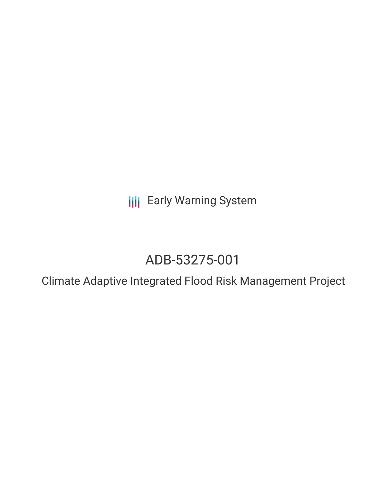**III** Early Warning System

# ADB-53275-001

Climate Adaptive Integrated Flood Risk Management Project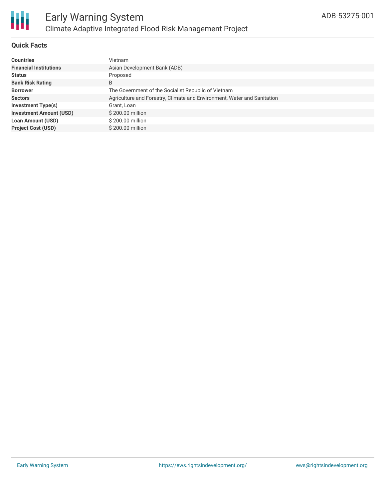

### **Quick Facts**

| <b>Countries</b>               | Vietnam                                                                 |
|--------------------------------|-------------------------------------------------------------------------|
| <b>Financial Institutions</b>  | Asian Development Bank (ADB)                                            |
| <b>Status</b>                  | Proposed                                                                |
| <b>Bank Risk Rating</b>        | B                                                                       |
| <b>Borrower</b>                | The Government of the Socialist Republic of Vietnam                     |
| <b>Sectors</b>                 | Agriculture and Forestry, Climate and Environment, Water and Sanitation |
| <b>Investment Type(s)</b>      | Grant, Loan                                                             |
| <b>Investment Amount (USD)</b> | \$200.00 million                                                        |
| <b>Loan Amount (USD)</b>       | \$200.00 million                                                        |
| <b>Project Cost (USD)</b>      | \$200.00 million                                                        |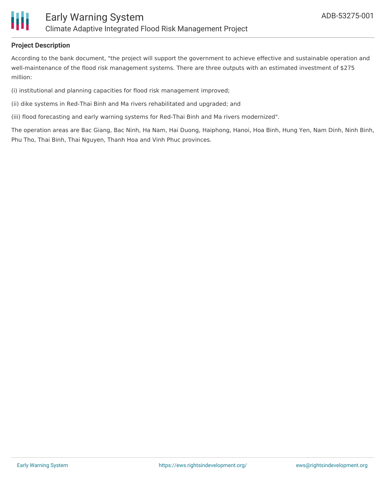

#### **Project Description**

According to the bank document, "the project will support the government to achieve effective and sustainable operation and well-maintenance of the flood risk management systems. There are three outputs with an estimated investment of \$275 million:

(i) institutional and planning capacities for flood risk management improved;

- (ii) dike systems in Red-Thai Binh and Ma rivers rehabilitated and upgraded; and
- (iii) flood forecasting and early warning systems for Red-Thai Binh and Ma rivers modernized".

The operation areas are Bac Giang, Bac Ninh, Ha Nam, Hai Duong, Haiphong, Hanoi, Hoa Binh, Hung Yen, Nam Dinh, Ninh Binh, Phu Tho, Thai Binh, Thai Nguyen, Thanh Hoa and Vinh Phuc provinces.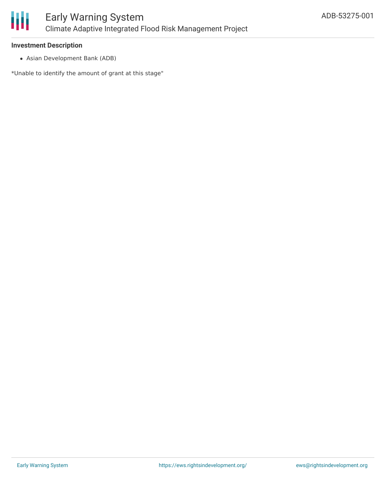

#### **Investment Description**

Asian Development Bank (ADB)

\*Unable to identify the amount of grant at this stage"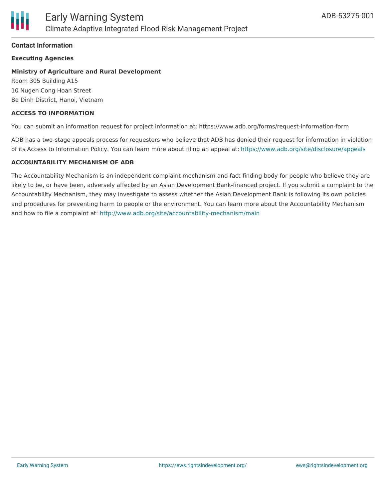#### **Contact Information**

#### **Executing Agencies**

### **Ministry of Agriculture and Rural Development**

Room 305 Building A15 10 Nugen Cong Hoan Street Ba Dinh District, Hanoi, Vietnam

#### **ACCESS TO INFORMATION**

You can submit an information request for project information at: https://www.adb.org/forms/request-information-form

ADB has a two-stage appeals process for requesters who believe that ADB has denied their request for information in violation of its Access to Information Policy. You can learn more about filing an appeal at: <https://www.adb.org/site/disclosure/appeals>

#### **ACCOUNTABILITY MECHANISM OF ADB**

The Accountability Mechanism is an independent complaint mechanism and fact-finding body for people who believe they are likely to be, or have been, adversely affected by an Asian Development Bank-financed project. If you submit a complaint to the Accountability Mechanism, they may investigate to assess whether the Asian Development Bank is following its own policies and procedures for preventing harm to people or the environment. You can learn more about the Accountability Mechanism and how to file a complaint at: <http://www.adb.org/site/accountability-mechanism/main>